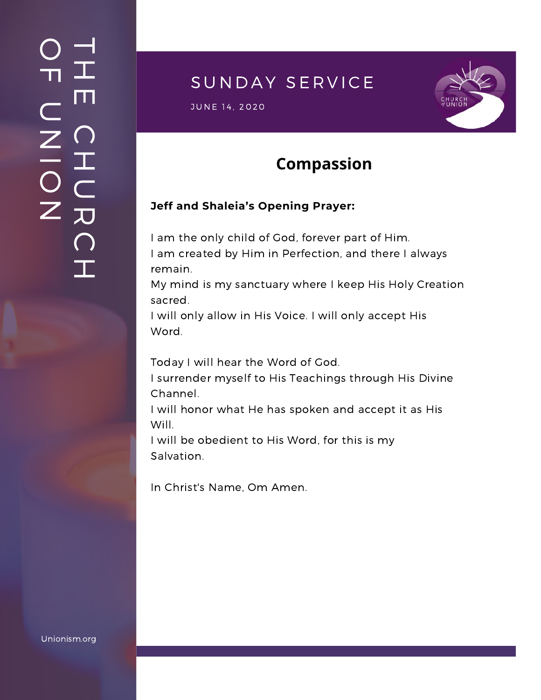### $\overline{\phantom{a}}$ H m.  $\bigcap$ H  $\subset$ 刀  $\bigcap$  $\mathbf{I}$  .  $\bigcirc$  $\blacksquare$  $\subset$  $\mathsf{Z}^+$ <u>In the Second Contract of the Second Contract of the International Second Contract of the International Second Contract of the International Second Contract of the International Second Contract of the International Second</u>  $\bigcirc$  $\mathsf{Z}^+$

# SUNDAY SERVICE

S UNE 14, 2020<br>JUNE 14, 2020



### **Compassion**

#### **Jeff and Shaleia's Opening Prayer:**

I am the only child of God, forever part of Him. I am created by Him in Perfection, and there I always remain.

My mind is my sanctuary where I keep His Holy Creation sacred.

I will only allow in His Voice. I will only accept His Word.

Today I will hear the Word of God.

I surrender myself to His Teachings through His Divine Channel.

I will honor what He has spoken and accept it as His Will.

I will be obedient to His Word, for this is my Salvation.

In Christ's Name, Om Amen.